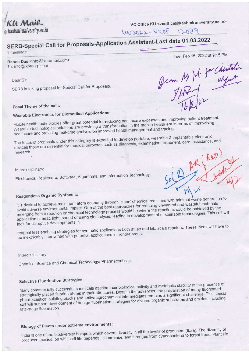$U$  Mail. @kashmiruniversity.ac.in

VC Office KU <vcoffice@kashmiruniversity.ac.in>

W12022-VCOF-12089

# SERB-Special Call for Proposals-Application Assistant-Last date 01.03.2022

1 message

Ranen Das <info@ixoramail.com> To: info@ixoragrp.com

Dear Sir,

SERB is taking proposal for Special Call for Proposals.

Jem 14 M. for Chutchi

Tue, Feb 15, 2022 at 9:15 PM

### Focal Theme of the calls

# **Wearable Electronics for Biomedical Applications:**

Mobile health technologies offer great potential for reducing healthcare expenses and improving patient treatment. Wearable technological solutions are providing a transformation in the mobile health era in terms of improvising healthcare and providing real-time analysis on improved health management and tracing.

The focus of proposals under this category is expected to develop portable, wearable & implantable electronic devices those are essential for medical purposes such as diagnosis, examination, treatment, care, assistance, and research.

Interdisciplinary:

Electronics, Healthcare, Software, Algorithms, and Information Technology.

## Reagentless Organic Synthesis:

It is desired to achieve maximum atom economy through 'clean' chemical reactions with minimal waste generation to avoid adverse environmental impact. One of the best approaches for reducing unwanted and wasteful materials emerging from a reaction or chemical technology process would be where the reactions could be achieved by the application of heat, light, sound or using electrolysis, leading to development of sustainable technologies. This call will look for disruptive developments in

reagent less enabling strategies for synthetic applications both at lab and kilo scale reactors. These ideas will have to be inextricably intertwined with potential applications in frontier areas.

Interdisciplinary:

Chemical Science and Chemical Technology/ Pharmaceuticals

#### **Selective Fluorination Strategies:**

Many commercially successful chemicals ascribe their biological activity and metabolic stability to the presence of strategically placed fluorine atoms in their structures. Despite the advances, the preparation of many fluorinated pharmaceutical building blocks and active agrochemical intermediates remains a significant challenge. This special call will support development of benign fluorination strategies for diverse organic substrates and amides, including late-stage fluorination.

## **Biology of Plants under extreme environments:**

India is one of the biodiversity hotspots which covers diversity in all the levels of producers (flora). The diversity of producer species, on which all life depends, is immense, and it ranges from cyanobacteria to forest trees. Plant life